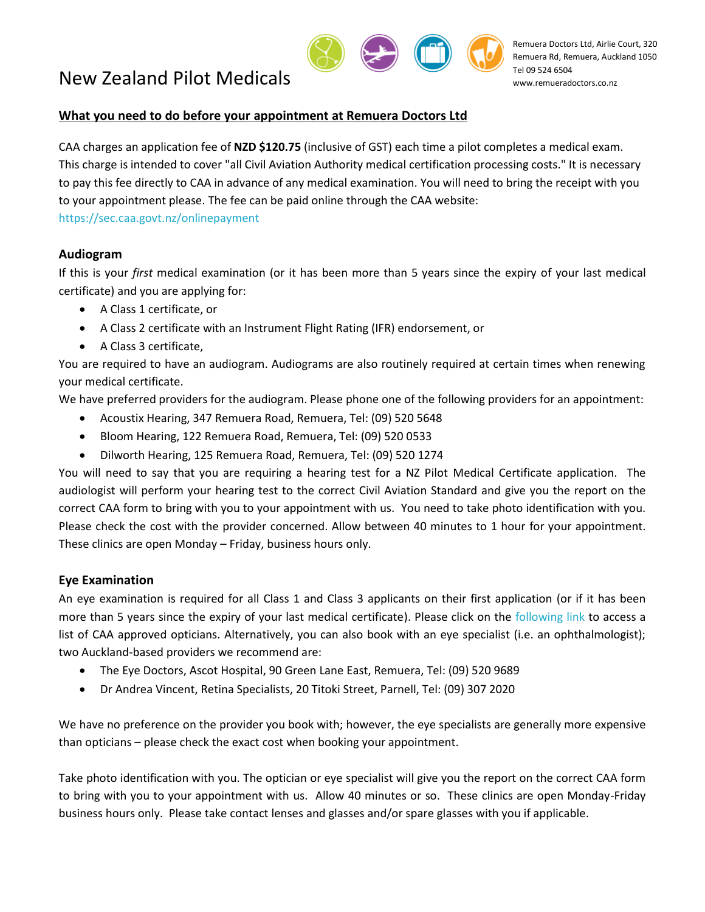

#### **What you need to do before your appointment at Remuera Doctors Ltd**

CAA charges an application fee of **NZD \$120.75** (inclusive of GST) each time a pilot completes a medical exam. This charge is intended to cover "all Civil Aviation Authority medical certification processing costs." It is necessary to pay this fee directly to CAA in advance of any medical examination. You will need to bring the receipt with you to your appointment please. The fee can be paid online through the CAA website: <https://sec.caa.govt.nz/onlinepayment>

## **Audiogram**

If this is your *first* medical examination (or it has been more than 5 years since the expiry of your last medical certificate) and you are applying for:

- A Class 1 certificate, or
- A Class 2 certificate with an Instrument Flight Rating (IFR) endorsement, or
- A Class 3 certificate,

You are required to have an audiogram. Audiograms are also routinely required at certain times when renewing your medical certificate.

We have preferred providers for the audiogram. Please phone one of the following providers for an appointment:

- Acoustix Hearing, 347 Remuera Road, Remuera, Tel: (09) 520 5648
- Bloom Hearing, 122 Remuera Road, Remuera, Tel: (09) 520 0533
- Dilworth Hearing, 125 Remuera Road, Remuera, Tel: (09) 520 1274

You will need to say that you are requiring a hearing test for a NZ Pilot Medical Certificate application. The audiologist will perform your hearing test to the correct Civil Aviation Standard and give you the report on the correct CAA form to bring with you to your appointment with us. You need to take photo identification with you. Please check the cost with the provider concerned. Allow between 40 minutes to 1 hour for your appointment. These clinics are open Monday – Friday, business hours only.

# **Eye Examination**

An eye examination is required for all Class 1 and Class 3 applicants on their first application (or if it has been more than 5 years since the expiry of your last medical certificate). Please click on the [following link](http://www.nzao.co.nz/locate-optometrist-caa) to access a list of CAA approved opticians. Alternatively, you can also book with an eye specialist (i.e. an ophthalmologist); two Auckland-based providers we recommend are:

- The Eye Doctors, Ascot Hospital, 90 Green Lane East, Remuera, Tel: (09) 520 9689
- Dr Andrea Vincent, Retina Specialists, 20 Titoki Street, Parnell, Tel: (09) 307 2020

We have no preference on the provider you book with; however, the eye specialists are generally more expensive than opticians – please check the exact cost when booking your appointment.

Take photo identification with you. The optician or eye specialist will give you the report on the correct CAA form to bring with you to your appointment with us. Allow 40 minutes or so. These clinics are open Monday-Friday business hours only. Please take contact lenses and glasses and/or spare glasses with you if applicable.